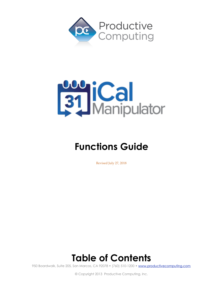



# **Functions Guide**

Revised July 27, 2018

# **Table of Contents**

950 Boardwalk, Suite 205, San Marcos, CA 92078 • (760) 510-1200 • [www.productivecomputing.com](http://www.productivecomputing.com)

© Copyright 2013 Productive Computing, Inc.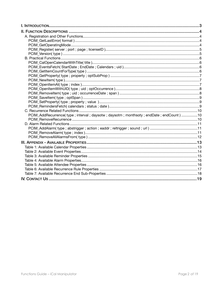| PCIM_AddRecurrence(type; interval; daysotw; daysotm; monthsoty; endDate; endCount) 10 |  |
|---------------------------------------------------------------------------------------|--|
|                                                                                       |  |
|                                                                                       |  |
|                                                                                       |  |
|                                                                                       |  |
|                                                                                       |  |
|                                                                                       |  |
|                                                                                       |  |
|                                                                                       |  |
|                                                                                       |  |
|                                                                                       |  |
|                                                                                       |  |
|                                                                                       |  |
|                                                                                       |  |
|                                                                                       |  |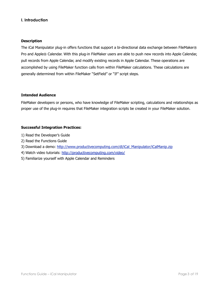## <span id="page-2-0"></span>**I. Introduction**

#### **Description**

The iCal Manipulator plug-in offers functions that support a bi-directional data exchange between FileMaker® Pro and Apple® Calendar. With this plug-in FileMaker users are able to push new records into Apple Calendar, pull records from Apple Calendar, and modify existing records in Apple Calendar. These operations are accomplished by using FileMaker function calls from within FileMaker calculations. These calculations are generally determined from within FileMaker "SetField" or "If" script steps.

## **Intended Audience**

FileMaker developers or persons, who have knowledge of FileMaker scripting, calculations and relationships as proper use of the plug-in requires that FileMaker integration scripts be created in your FileMaker solution.

## **Successful Integration Practices:**

- 1) Read the Developer's Guide
- 2) Read the Functions Guide
- 3) Download a demo: [http://www.productivecomputing.com/dl/iCal\\_Manipulator/iCalManip.zip](http://www.productivecomputing.com/dl/iCal_Manipulator/iCalManip.zip)
- 4) Watch video tutorials:<http://productivecomputing.com/video/>
- 5) Familiarize yourself with Apple Calendar and Reminders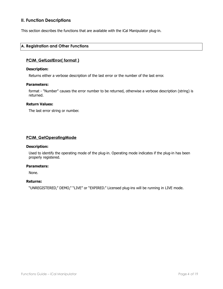# <span id="page-3-0"></span>**II. Function Descriptions**

This section describes the functions that are available with the iCal Manipulator plug-in.

## <span id="page-3-1"></span>**A. Registration and Other Functions**

## <span id="page-3-2"></span>**PCIM\_GetLastError( format )**

#### **Description:**

Returns either a verbose description of the last error or the number of the last error.

#### **Parameters:**

format - "Number" causes the error number to be returned, otherwise a verbose description (string) is returned.

## **Return Values:**

The last error string or number.

## <span id="page-3-3"></span>**PCIM\_GetOperatingMode**

#### **Description:**

Used to identify the operating mode of the plug-in. Operating mode indicates if the plug-in has been properly registered.

#### **Parameters:**

None.

#### **Returns:**

"UNREGISTERED," DEMO," "LIVE" or "EXPIRED." Licensed plug-ins will be running in LIVE mode.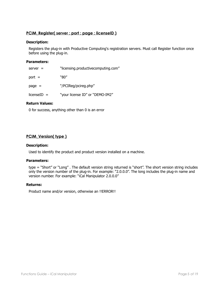## <span id="page-4-0"></span>**PCIM\_Register( server ; port ; page ; licenseID )**

## **Description:**

Registers the plug-in with Productive Computing's registration servers. Must call Register function once before using the plug-in.

#### **Parameters:**

| $server =$    | "licensing.productivecomputing.com" |
|---------------|-------------------------------------|
| $port =$      | "80"                                |
| $page =$      | "/PCIReg/pcireg.php"                |
| $licenseID =$ | "your license ID" or "DEMO-IM2"     |

## **Return Values:**

0 for success, anything other than 0 is an error

## <span id="page-4-1"></span>**PCIM\_Version( type )**

#### **Description:**

Used to identify the product and product version installed on a machine.

#### **Parameters:**

type = "Short" or "Long" . The default version string returned is "short". The short version string includes only the version number of the plug-in. For example: "2.0.0.0". The long includes the plug-in name and version number. For example: "iCal Manipulator 2.0.0.0"

#### **Returns:**

Product name and/or version, otherwise an !!ERROR!!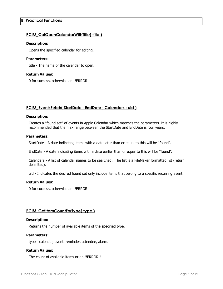## <span id="page-5-1"></span><span id="page-5-0"></span>**PCIM\_CalOpenCalendarWithTitle( title )**

#### **Description:**

Opens the specified calendar for editing.

## **Parameters:**

title - The name of the calendar to open.

#### **Return Values:**

0 for success, otherwise an !!ERROR!!

## <span id="page-5-2"></span>**PCIM\_EventsFetch( StartDate ; EndDate ; Calendars ; uid )**

#### **Description:**

Creates a "found set" of events in Apple Calendar which matches the parameters. It is highly recommended that the max range between the StartDate and EndDate is four years.

#### **Parameters:**

StartDate - A date indicating items with a date later than or equal to this will be "found".

EndDate - A date indicating items with a date earlier than or equal to this will be "found".

Calendars - A list of calendar names to be searched. The list is a FileMaker formatted list (return delimited).

uid - Indicates the desired found set only include items that belong to a specific recurring event.

#### **Return Values:**

0 for success, otherwise an !!ERROR!!

## <span id="page-5-3"></span>**PCIM\_GetItemCountForType( type )**

#### **Description:**

Returns the number of available items of the specified type.

## **Parameters:**

type - calendar, event, reminder, attendee, alarm.

#### **Return Values:**

The count of available items or an !!ERROR!!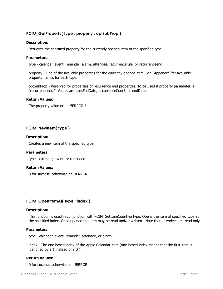## <span id="page-6-0"></span>**PCIM\_GetProperty( type ; property ; optSubProp )**

#### **Description:**

Retrieves the specified property for the currently opened item of the specified type.

#### **Parameters:**

type - calendar, event, reminder, alarm, attendee, recurrencerule, or recurrenceend.

property - One of the available properties for the currently opened item. See "Appendix" for available property names for each type.

optSubProp - Reserved for properties of recurrence end properties. To be used if property parameter is "recurrenceend." Values are usesEndDate, occurrenceCount, or endDate.

#### **Return Values:**

The property value or an !!ERROR!!

## <span id="page-6-1"></span>**PCIM\_NewItem( type )**

#### **Description:**

Creates a new item of the specified type.

#### **Parameters:**

type - calendar, event, or reminder.

#### **Return Values:**

0 for success, otherwise an !!ERROR!!

## <span id="page-6-2"></span>**PCIM\_OpenItemAt( type ; index )**

#### **Description:**

This function is used in conjunction with PCIM\_GetItemCountForType. Opens the item of specified type at the specified index. Once opened the item may be read and/or written. Note that attendees are read only.

#### **Parameters:**

type - calendar, event, reminder, attendee, or alarm.

index - The one based index of the Apple Calendar item (one-based index means that the first item is identified by a 1 instead of a 0 ).

#### **Return Values:**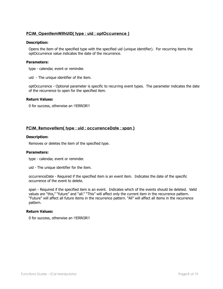## <span id="page-7-0"></span>**PCIM\_OpenItemWithUID( type ; uid ; optOccurrence )**

#### **Description:**

Opens the item of the specified type with the specified uid (unique identifier). For recurring items the optOccurrence value indicates the date of the recurrence.

## **Parameters:**

type - calendar, event or reminder.

uid - The unique identifier of the item.

optOccurrence - Optional parameter is specific to recurring event types. The parameter indicates the date of the recurrence to open for the specified item.

#### **Return Values:**

0 for success, otherwise an !!ERROR!!

#### <span id="page-7-1"></span>**PCIM\_RemoveItem( type ; uid ; occurrenceDate ; span )**

#### **Description:**

Removes or deletes the item of the specified type.

#### **Parameters:**

type - calendar, event or reminder.

uid - The unique identifier for the item.

occurrenceDate - Required if the specified item is an event item. Indicates the date of the specific occurrence of the event to delete.

span - Required if the specified item is an event. Indicates which of the events should be deleted. Valid values are "this," "future" and "all." "This" will affect only the current item in the recurrence pattern. "Future" will affect all future items in the recurrence pattern. "All" will affect all items in the recurrence pattern.

#### **Return Values:**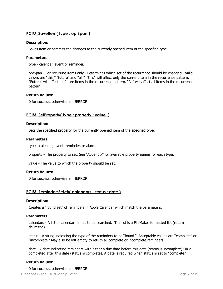## <span id="page-8-0"></span>**PCIM\_SaveItem( type ; optSpan )**

#### **Description:**

Saves item or commits the changes to the currently opened item of the specified type.

#### **Parameters:**

type - calendar, event or reminder.

optSpan - For recurring items only. Determines which set of the recurrence should be changed. Valid values are "this," "future" and "all." "This" will affect only the current item in the recurrence pattern. "Future" will affect all future items in the recurrence pattern. "All" will affect all items in the recurrence pattern.

#### **Return Values:**

0 for success, otherwise an !!ERROR!!

## <span id="page-8-1"></span>**PCIM\_SetProperty( type ; property ; value )**

#### **Description:**

Sets the specified property for the currently opened item of the specified type.

#### **Parameters:**

type - calendar, event, reminder, or alarm.

property - The property to set. See "Appendix" for available property names for each type.

value - The value to which the property should be set.

## **Return Values:**

0 for success, otherwise an !!ERROR!!

## <span id="page-8-2"></span>**PCIM\_RemindersFetch( calendars ; status ; date )**

#### **Description:**

Creates a "found set" of reminders in Apple Calendar which match the parameters.

#### **Parameters:**

calendars - A list of calendar names to be searched. The list is a FileMaker formatted list (return delimited).

status - A string indicating the type of the reminders to be "found." Acceptable values are "complete" or "incomplete." May also be left empty to return all complete or incomplete reminders.

date - A date indicating reminders with either a due date before this date (status is incomplete) OR a completed after this date (status is complete). A date is required when status is set to "complete."

## **Return Values:**

0 for success, otherwise an !!ERROR!! Functions Guide – iCal Manipulator Page 9 of 19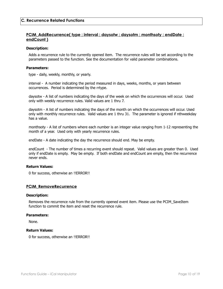## <span id="page-9-1"></span><span id="page-9-0"></span>**PCIM\_AddRecurrence( type ; interval ; daysotw ; daysotm ; monthsoty ; endDate ; endCount )**

#### **Description:**

Adds a recurrence rule to the currently opened item. The recurrence rules will be set according to the parameters passed to the function. See the documentation for valid parameter combinations.

## **Parameters:**

type - daily, weekly, monthly, or yearly.

interval - A number indicating the period measured in days, weeks, months, or years between occurrences. Period is determined by the rrtype.

daysotw - A list of numbers indicating the days of the week on which the occurrences will occur. Used only with weekly recurrence rules. Valid values are 1 thru 7.

daysotm - A list of numbers indicating the days of the month on which the occurrences will occur. Used only with monthly recurrence rules. Valid values are 1 thru 31. The parameter is ignored if nthweekday has a value.

monthsoty - A list of numbers where each number is an integer value ranging from 1-12 representing the month of a year. Used only with yearly recurrence rules.

endDate - A date indicating the day the recurrence should end. May be empty.

endCount - The number of times a recurring event should repeat. Valid values are greater than 0. Used only if endDate is empty. May be empty. If both endDate and endCount are empty, then the recurrence never ends.

## **Return Values:**

0 for success, otherwise an !!ERROR!!

## <span id="page-9-2"></span>**PCIM\_RemoveRecurrence**

#### **Description:**

Removes the recurrence rule from the currently opened event item. Please use the PCIM\_SaveItem function to commit the item and reset the recurrence rule.

#### **Parameters:**

None.

#### **Return Values:**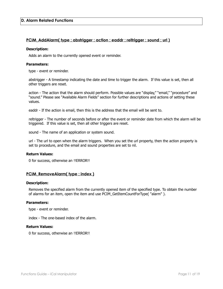## <span id="page-10-0"></span>**D. Alarm Related Functions**

## <span id="page-10-1"></span>**PCIM\_AddAlarm( type ; abstrigger ; action ; eaddr ; reltrigger ; sound ; url )**

#### **Description:**

Adds an alarm to the currently opened event or reminder.

#### **Parameters:**

type - event or reminder.

abstrigger - A timestamp indicating the date and time to trigger the alarm. If this value is set, then all other triggers are reset.

action - The action that the alarm should perform. Possible values are "display," "email," "procedure" and "sound." Please see "Available Alarm Fields" section for further descriptions and actions of setting these values.

eaddr - If the action is email, then this is the address that the email will be sent to.

reltrigger - The number of seconds before or after the event or reminder date from which the alarm will be triggered. If this value is set, then all other triggers are reset.

sound - The name of an application or system sound.

url - The url to open when the alarm triggers. When you set the url property, then the action property is set to procedure, and the email and sound properties are set to nil.

#### **Return Values:**

0 for success, otherwise an !!ERROR!!

## <span id="page-10-2"></span>**PCIM\_RemoveAlarm( type ; index )**

#### **Description:**

Removes the specified alarm from the currently opened item of the specified type. To obtain the number of alarms for an item, open the item and use PCIM\_GetItemCountForType( "alarm" ).

#### **Parameters:**

type - event or reminder.

index - The one-based index of the alarm.

## **Return Values:**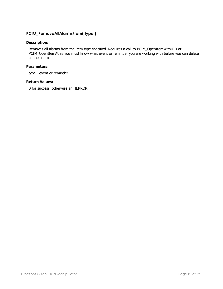## <span id="page-11-0"></span>**PCIM\_RemoveAllAlarmsFrom( type )**

## **Description:**

Removes all alarms from the item type specified. Requires a call to PCIM\_OpenItemWithUID or PCIM\_OpenItemAt as you must know what event or reminder you are working with before you can delete all the alarms.

#### **Parameters:**

type - event or reminder.

#### **Return Values:**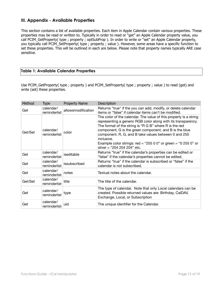# <span id="page-12-0"></span>**III. Appendix - Available Properties**

This section contains a list of available properties. Each item in Apple Calendar contain various properties. These properties may be read or written to. Typically in order to read or "get" an Apple Calendar property value, you call PCIM\_GetProperty( type ; property ; optSubProp ). In order to write or "set" an Apple Calendar property, you typically call PCIM\_SetProperty( type ; property ; value ). However, some areas have a specific function to set these properties. This will be outlined in each are below. Please note that property names typically ARE case sensitive.

## <span id="page-12-1"></span>**Table 1: Available Calendar Properties**

Use PCIM\_GetProperty( type ; property ) and PCIM\_SetProperty( type ; property ; value ) to read (get) and write (set) these properties.

| Method  | <b>Type</b>               | <b>Property Name</b> | Description                                                                                                                                                                                                                                                                                                                                                                                                                   |  |
|---------|---------------------------|----------------------|-------------------------------------------------------------------------------------------------------------------------------------------------------------------------------------------------------------------------------------------------------------------------------------------------------------------------------------------------------------------------------------------------------------------------------|--|
| Get     | calendar/<br>reminderlist | allowsmodification   | Returns "true" if the you can add, modify, or delete calendar<br>items or "false" if calendar items can't be modified.                                                                                                                                                                                                                                                                                                        |  |
| Get/Set | calendar/<br>reminderlist | color                | The color of the calendar. The value of this property is a string<br>representing a generic RGB color along with its transparency.<br>The format of the string is "R G B" where R is the red<br>component, G is the green component, and B is the blue<br>component. R, G, and B take values between 0 and 255<br>inclusive.<br>Example color strings: red = "255 0 0" or green = "0 255 0" or<br>silver = "204 204 204" etc. |  |
| Get     | calendar/<br>reminderlist | iseditable           | Returns "true" if the calendar's properties can be edited or<br>"false" if the calendar's properties cannot be edited.                                                                                                                                                                                                                                                                                                        |  |
| Get     | calendar/<br>reminderlist | issubscribed         | Returns "true" if the calendar is subscribed or "false" if the<br>calendar is not subscribed.                                                                                                                                                                                                                                                                                                                                 |  |
| Get     | calendar/<br>reminderlist | notes                | Textual notes about the calendar.                                                                                                                                                                                                                                                                                                                                                                                             |  |
| Get/Set | calendar/<br>reminderlist | title                | The title of the calendar.                                                                                                                                                                                                                                                                                                                                                                                                    |  |
| Get     | calendar/<br>reminderlist | type                 | The type of calendar. Note that only Local calendars can be<br>created. Possible returned values are: Birthday, CalDAV,<br>Exchange, Local, or Subscription                                                                                                                                                                                                                                                                   |  |
| Get     | calendar/<br>reminderlist | uid                  | The unique identifier for the Calendar.                                                                                                                                                                                                                                                                                                                                                                                       |  |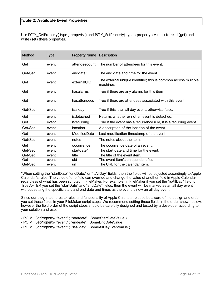<span id="page-13-0"></span>Use PCIM GetProperty( type ; property ) and PCIM SetProperty( type ; property ; value ) to read (get) and write (set) these properties.

| Method  | <b>Type</b> | Property Name Description |                                                                            |  |
|---------|-------------|---------------------------|----------------------------------------------------------------------------|--|
| Get     | event       | attendeecount             | The number of attendees for this event.                                    |  |
| Get/Set | event       | enddate*                  | The end date and time for the event.                                       |  |
| Get     | event       | externalUID               | The external unique identifier; this is common across multiple<br>machines |  |
| Get     | event       | hasalarms                 | True if there are any alarms for this item                                 |  |
| Get     | event       | hasattendees              | True if there are attendees associated with this event                     |  |
| Get/Set | event       | isallday                  | True if this is an all day event, otherwise false.                         |  |
| Get     | event       | isdetached                | Returns whether or not an event is detached.                               |  |
| Get     | event       | isrecurring               | True if the event has a recurrence rule, it is a recurring event.          |  |
| Get/Set | event       | location                  | A description of the location of the event.                                |  |
| Get     | event       | ModifiedDate              | Last modification timestamp of the event                                   |  |
| Get/Set | event       | notes                     | The notes about the item.                                                  |  |
| Get     | event       | occurrence                | The occurrence date of an event.                                           |  |
| Get/Set | event       | startdate*                | The start date and time for the event.                                     |  |
| Get/Set | event       | title                     | The title of the event item.                                               |  |
| Get     | event       | uid                       | The event item's unique identifier.                                        |  |
| Get/Set | event       | url                       | The URL for the calendar item.                                             |  |

\*When setting the "startDate" "endDate," or "isAllDay" fields, then the fields will be adjusted accordingly to Apple Calendar's rules. The value of one field can override and change the value of another field in Apple Calendar regardless of what has been scripted in FileMaker. For example, in FileMaker if you set the "isAllDay" field to True AFTER you set the "startDate" and "endDate" fields, then the event will be marked as an all day event without setting the specific start and end date and times as the event is now an all day event.

Since our plug-in adheres to rules and functionality of Apple Calendar, please be aware of the design and order you set these fields in your FileMaker script steps. We recommend setting these fields in the order shown below, however the field order of the script steps should be carefully designed and tested by a developer according to your solution and use.

- PCIM SetProperty( "event" ; "startdate" ; SomeStartDateValue )
- PCIM SetProperty( "event" ; "endeate" ; SomeEndDateValue )
- PCIM SetProperty( "event" ; "isallday" ; SomeAllDayEventValue )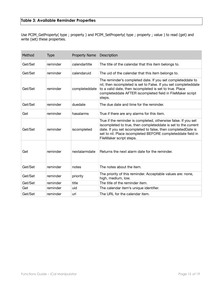<span id="page-14-0"></span>Use PCIM\_GetProperty( type ; property ) and PCIM\_SetProperty( type ; property ; value ) to read (get) and write (set) these properties.

| Method  | <b>Type</b> | Property Name Description |                                                                                                                                                                                                                                                                                           |  |  |
|---------|-------------|---------------------------|-------------------------------------------------------------------------------------------------------------------------------------------------------------------------------------------------------------------------------------------------------------------------------------------|--|--|
| Get/Set | reminder    | calendartitle             | The title of the calendar that this item belongs to.                                                                                                                                                                                                                                      |  |  |
| Get/Set | reminder    | calendaruid               | The uid of the calendar that this item belongs to.                                                                                                                                                                                                                                        |  |  |
| Get/Set | reminder    | completeddate             | The reminder's completed date. If you set completeddate to<br>nil, then iscompleted is set to False. If you set completeddate<br>to a valid date, then iscompleted is set to true. Place<br>completeddate AFTER iscompleted field in FileMaker script<br>steps.                           |  |  |
| Get/Set | reminder    | duedate                   | The due date and time for the reminder.                                                                                                                                                                                                                                                   |  |  |
| Get     | reminder    | hasalarms                 | True if there are any alarms for this item.                                                                                                                                                                                                                                               |  |  |
| Get/Set | reminder    | iscompleted               | True if the reminder is completed, otherwise false. If you set<br>iscompleted to true, then completeddate is set to the current<br>date. If you set iscompleted to false, then completedDate is<br>set to nil. Place iscompleted BEFORE completeddate field in<br>FileMaker script steps. |  |  |
| Get     | reminder    | nextalarmdate             | Returns the next alarm date for the reminder.                                                                                                                                                                                                                                             |  |  |
| Get/Set | reminder    | notes                     | The notes about the item.                                                                                                                                                                                                                                                                 |  |  |
| Get/Set | reminder    | priority                  | The priority of this reminder. Acceptable values are: none,<br>high, medium, low.                                                                                                                                                                                                         |  |  |
| Get/Set | reminder    | title                     | The title of the reminder item.                                                                                                                                                                                                                                                           |  |  |
| Get     | reminder    | uid                       | The calendar item's unique identifier.                                                                                                                                                                                                                                                    |  |  |
| Get/Set | reminder    | url                       | The URL for the calendar item.                                                                                                                                                                                                                                                            |  |  |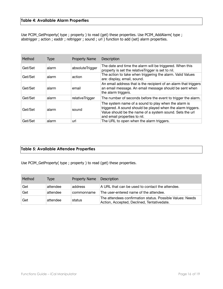# <span id="page-15-0"></span>**Table 4: Available Alarm Properties**

Use PCIM\_GetProperty( type ; property ) to read (get) these properties. Use PCIM\_AddAlarm( type ; abstrigger ; action ; eaddr ; reltrigger ; sound ; url ) function to add (set) alarm properties.

| Method  | <b>Type</b> | <b>Property Name</b> | <b>Description</b>                                                                                                                                                                                               |
|---------|-------------|----------------------|------------------------------------------------------------------------------------------------------------------------------------------------------------------------------------------------------------------|
| Get/Set | alarm       | absoluteTrigger      | The date and time the alarm will be triggered. When this<br>property is set the relative Trigger is set to nil.                                                                                                  |
| Get/Set | alarm       | action               | The action to take when triggering the alarm. Valid Values<br>are: display, email, sound.                                                                                                                        |
| Get/Set | alarm       | email                | An email address that is the recipient of an alarm that triggers<br>an email message. An email message should be sent when<br>the alarm triggers.                                                                |
| Get/Set | alarm       | relativeTrigger      | The number of seconds before the event to trigger the alarm.                                                                                                                                                     |
| Get/Set | alarm       | sound                | The system name of a sound to play when the alarm is<br>triggered. A sound should be played when the alarm triggers.<br>Value should be the name of a system sound. Sets the url<br>and email properties to nil. |
| Get/Set | alarm       | url                  | The URL to open when the alarm triggers.                                                                                                                                                                         |

## <span id="page-15-1"></span>**Table 5: Available Attendee Properties**

Use PCIM\_GetProperty( type ; property ) to read (get) these properties.

| Method | Tvpe     | Property Name Description |                                                                                                         |
|--------|----------|---------------------------|---------------------------------------------------------------------------------------------------------|
| Get    | attendee | address                   | A URL that can be used to contact the attendee.                                                         |
| Get    | attendee | commonname                | The user-entered name of the attendee.                                                                  |
| Get    | attendee | status                    | The attendees confirmation status. Possible Values: Needs<br>Action, Accepted, Declined, Tentativedate. |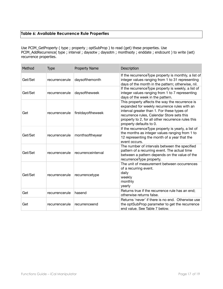# <span id="page-16-0"></span>**Table 6: Available Recurrence Rule Properties**

Use PCIM\_GetProperty ( type ; property ; optSubProp ) to read (get) these properties. Use PCIM\_AddRecurrence( type ; interval ; daysotw ; daysotm ; monthsoty ; enddate ; endcount ) to write (set) recurrence properties.

| Method  | Type           | <b>Property Name</b> | Description                                                                                                                                                                                                                                                                   |
|---------|----------------|----------------------|-------------------------------------------------------------------------------------------------------------------------------------------------------------------------------------------------------------------------------------------------------------------------------|
| Get/Set | recurrencerule | daysofthemonth       | If the recurrence Type property is monthly, a list of<br>integer values ranging from 1 to 31 representing<br>days of the month in the pattern; otherwise, nil.                                                                                                                |
| Get/Set | recurrencerule | daysoftheweek        | If the recurrence Type property is weekly, a list of<br>integer values ranging from 1 to 7 representing<br>days of the week in the pattern.                                                                                                                                   |
| Get     | recurrencerule | firstdayoftheweek    | This property affects the way the recurrence is<br>expanded for weekly recurrence rules with an<br>interval greater than 1. For these types of<br>recurrence rules, Calendar Store sets this<br>property to 2, for all other recurrence rules this<br>property defaults to 0. |
| Get/Set | recurrencerule | monthsoftheyear      | If the recurrence Type property is yearly, a list of<br>the months as integer values ranging from 1 to<br>12 representing the month of a year that the<br>event occurs.                                                                                                       |
| Get/Set | recurrencerule | recurrenceinterval   | The number of intervals between the specified<br>pattern of a recurring event. The actual time<br>between a pattern depends on the value of the<br>recurrenceType property.                                                                                                   |
| Get/Set | recurrencerule | recurrencetype       | The unit of measurement between occurrences<br>of a recurring event.<br>daily<br>weekly<br>monthly<br>yearly                                                                                                                                                                  |
| Get     | recurrencerule | hasend               | Returns true if the recurrence rule has an end;<br>otherwise returns false.                                                                                                                                                                                                   |
| Get     | recurrencerule | recurrenceend        | Returns 'never' if there is no end. Otherwise use<br>the optSubProp parameter to get the recurrence<br>end value. See Table 7 below.                                                                                                                                          |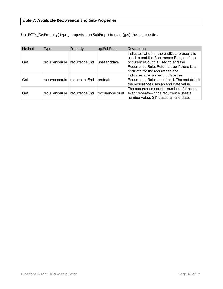# <span id="page-17-0"></span>**Table 7: Available Recurrence End Sub-Properties**

Use PCIM\_GetProperty( type ; property ; optSubProp ) to read (get) these properties.

| Method | Type           | Property      | optSubProp     | <b>Description</b>                                                                                                                                                                                              |
|--------|----------------|---------------|----------------|-----------------------------------------------------------------------------------------------------------------------------------------------------------------------------------------------------------------|
| Get    | recurrencerule | recurrenceEnd | usesenddate    | Indicates whether the endDate property is<br>used to end the Recurrence Rule, or if the<br>occurenceCount is used to end the<br>Recurrence Rule. Returns true if there is an<br>endDate for the recurrence end. |
| Get    | recurrencerule | recurrenceEnd | enddate        | Indicates after a specific date the<br>Recurrence Rule should end. The end date if<br>the recurrence uses an end date value.                                                                                    |
| Get    | recurrencerule | recurrenceEnd | occurencecount | The occurrence count-number of times an<br>event repeats-if the recurrence uses a<br>number value; 0 if it uses an end date.                                                                                    |